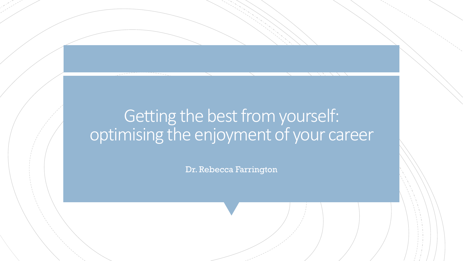#### Getting the best from yourself: optimising the enjoyment of your career

Dr. Rebecca Farrington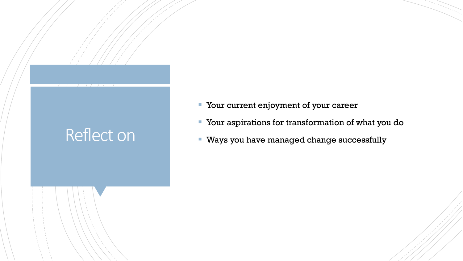# Reflect on

- **Your current enjoyment of your career**
- Your aspirations for transformation of what you do
- Ways you have managed change successfully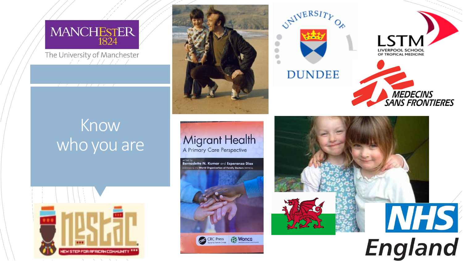

The University of Manchester

# Know who you are









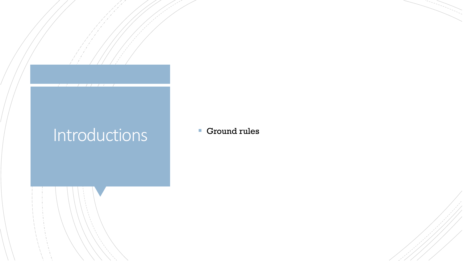# Introductions **F** Ground rules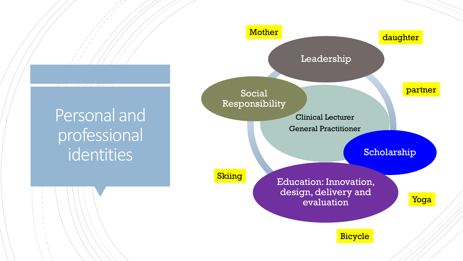#### Personal and professional identities

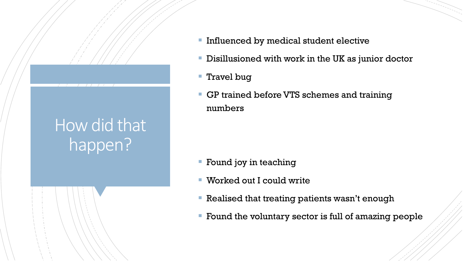#### How did that happen?

- **Influenced by medical student elective**
- **EXTERGHEEVIOUS** Disillusioned with work in the UK as junior doctor
- Travel bug
- **EXEP trained before VTS schemes and training** numbers

- **Example 1 Found joy in teaching**
- Worked out I could write
- **Realised that treating patients wasn't enough**
- Found the voluntary sector is full of amazing people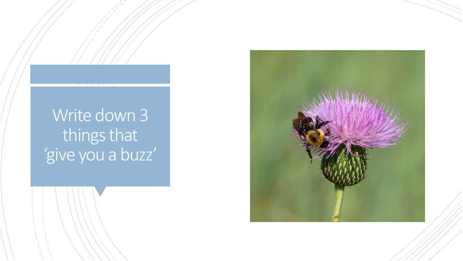# Write down 3 things that 'give you a buzz'

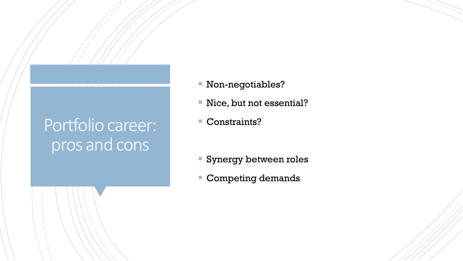# Portfolio career: pros and cons

- Non-negotiables?
- **EXEC** Nice, but not essential?
- Constraints?

- **Synergy between roles**
- Competing demands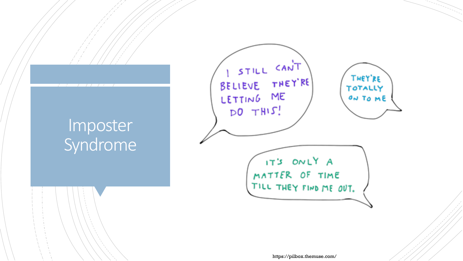#### Imposter Syndrome

 $\sqrt{1}$ 



https://pilbox.themuse.com/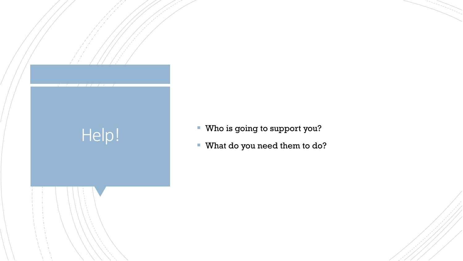

- 
- What do you need them to do?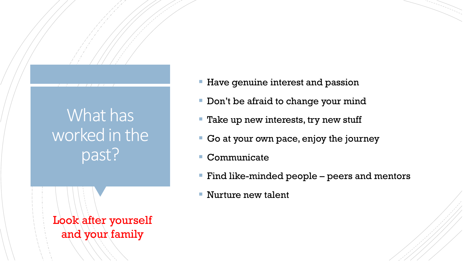# What has worked in the past?

Look after yourself and your family

- **Have genuine interest and passion**
- **Don't be afraid to change your mind**
- **Take up new interests, try new stuff**
- Go at your own pace, enjoy the journey
- Communicate
- Find like-minded people peers and mentors
- Nurture new talent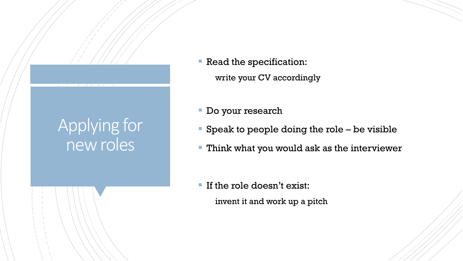# Applying for new roles

- **Read the specification:** write your CV accordingly
- **Do your research**
- Speak to people doing the role be visible
- **Think what you would ask as the interviewer**

**If the role doesn't exist:** invent it and work up a pitch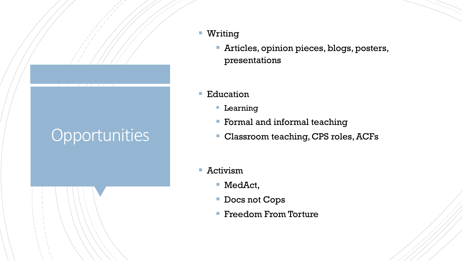# **Opportunities**

- Writing
	- **EXERCICES, opinion pieces, blogs, posters,** presentations
- Education
	- **Learning**
	- **Formal and informal teaching**
	- Classroom teaching, CPS roles, ACFs
- Activism
	- MedAct,
	- Docs not Cops
	- Freedom From Torture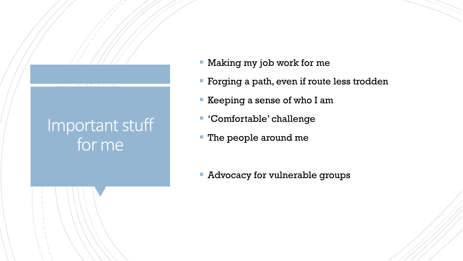#### Important stuff for me

- **EXA** Making my job work for me
- **Forging a path, even if route less trodden**
- Keeping a sense of who I am
- 'Comfortable' challenge
- **The people around me**
- **EXEL Advocacy for vulnerable groups**